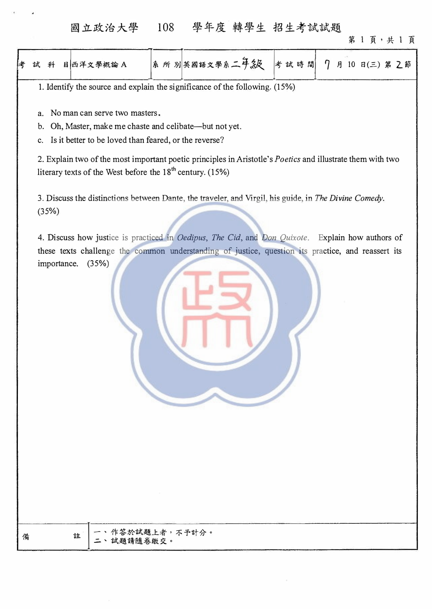$\mathbf{a}$ 

第1頁,共l頁

|   |    |       |   |                                                                                                                                                                           |  |                               |  | 第1頁,共1頁 |  |
|---|----|-------|---|---------------------------------------------------------------------------------------------------------------------------------------------------------------------------|--|-------------------------------|--|---------|--|
| 考 |    |       |   | 試 科 目 西洋文學概論 A                                                                                                                                                            |  | 系所别英国語文學系二年級 考试時間 7月10日(三)第2節 |  |         |  |
|   |    |       |   | 1. Identify the source and explain the significance of the following. (15%)                                                                                               |  |                               |  |         |  |
|   | a. |       |   | No man can serve two masters.                                                                                                                                             |  |                               |  |         |  |
|   | b. |       |   | Oh, Master, make me chaste and celibate—but not yet.                                                                                                                      |  |                               |  |         |  |
|   | c. |       |   | Is it better to be loved than feared, or the reverse?                                                                                                                     |  |                               |  |         |  |
|   |    |       |   | 2. Explain two of the most important poetic principles in Aristotle's Poetics and illustrate them with two<br>literary texts of the West before the $18th$ century. (15%) |  |                               |  |         |  |
|   |    |       |   | 3. Discuss the distinctions between Dante, the traveler, and Virgil, his guide, in The Divine Comedy.                                                                     |  |                               |  |         |  |
|   |    | (35%) |   |                                                                                                                                                                           |  |                               |  |         |  |
|   |    |       |   | 4. Discuss how justice is practiced in Oedipus, The Cid, and Don Quixote. Explain how authors of                                                                          |  |                               |  |         |  |
|   |    |       |   | these texts challenge the common understanding of justice, question its practice, and reassert its                                                                        |  |                               |  |         |  |
|   |    |       |   |                                                                                                                                                                           |  |                               |  |         |  |
|   |    |       |   |                                                                                                                                                                           |  |                               |  |         |  |
| 備 |    |       | 註 | 作答於試題上者,不予計分。<br>二、試題請隨卷繳交。                                                                                                                                               |  |                               |  |         |  |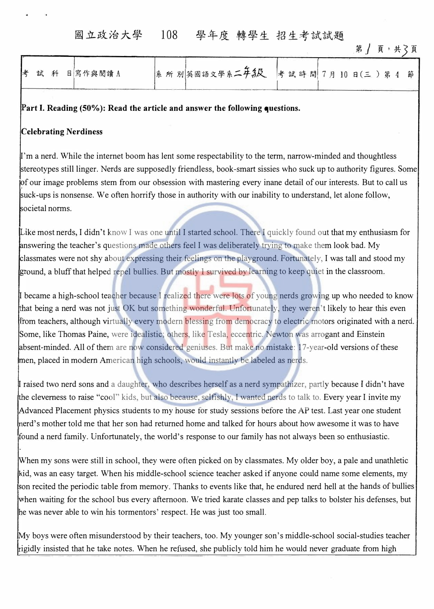第 / 頁,共}頁

## Part I. Reading  $(50\%)$ : Read the article and answer the following questions.

## Celebrating Nerdiness

I'm a nerd. While the internet boom has lent some respectability to the term, narrow-minded and thoughtless stereotypes still linger. Nerds are supposedly friendless, book-smart sissies who suck up to authority figures. Some ?four image problems stem from our obsession with mastering every inane detail of our interests. But to call us suck-ups is nonsense. We often horrify those in authority with our inability to understand, let alone follow, societal norms.

Like most nerds, I didn't know I was one until I started school. There I quickly found out that my enthusiasm for answering the teacher's questions made others feel I was deliberately trying to make them look bad. My classmates were not shy about expressing their feelings on the playground. Fortunately, I was tall and stood my ground, a bluff that helped repel bullies. But mostly I survived by learning to keep quiet in the classroom.

I became a high-school teacher because I realized there were lots of young nerds growing up who needed to know that being a nerd was not just OK but something wonderful. Unfortunately, they weren't likely to hear this even from teachers, although virtually every modern blessing from democracy to electric motors originated with a nerd. Some, like Thomas Paine, were idealistic; others, like Tesla, eccentric. Newton was arrogant and Einstein absent-minded. All of them are now considered geniuses. But make no mistake: 17-year-old versions of these men, placed in modern American high schools, would instantly be labeled as nerds.

I raised two nerd sons and a daughter, who describes herself as a nerd sympathizer, partly because I didn't have the cleverness to raise "cool" kids, but also because, selfishly, I wanted nerds to talk to. Every year I invite my dvanced Placement physics students to my house for study sessions before the AP test. Last year one student herd's mother told me that her son had returned home and talked for hours about how awesome it was to have found a nerd family. Unfortunately, the world's response to our family has not always been so enthusiastic.

When my sons were still in school, they were often picked on by classmates. My older boy, a pale and unathletic id, was an easy target. When his middle-school science teacher asked if anyone could name some elements, my son recited the periodic table from memory. Thanks to events like that, he endured nerd hell at the hands of bullies when waiting for the school bus every afternoon. We tried karate classes and pep talks to bolster his defenses, but he was never able to win his tormentors' respect. He was just too small.

My boys were often misunderstood by their teachers, too. My younger son's middle-school social-studies teacher igidly insisted that he take notes. When he refused, she publicly told him he would never graduate from high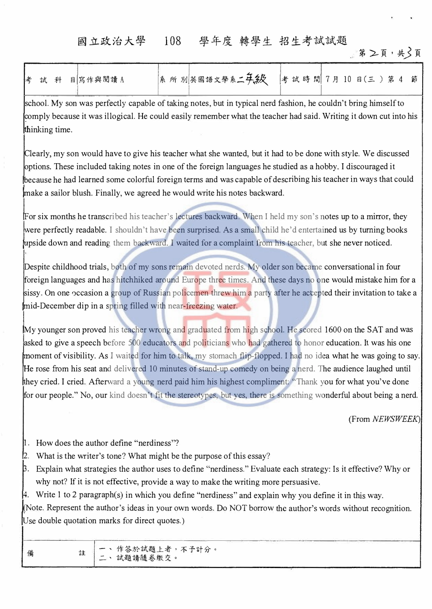# $\frac{2}{3}$ 第  $\geq$ 頁, 共<3頁

school. My son was perfectly capable of taking notes, but in typical nerd fashion, he couldn't bring himself to comply because it was illogical. He could easily remember what the teacher had said. Writing it down cut into his hinking time.

Clearly, my son would have to give his teacher what she wanted, but it had to be done with style. We discussed options. These included taking notes in one of the foreign languages he studied as a hobby. I discouraged it because he had learned some colorful foreign terms and was capable of describing his teacher in ways that could make a sailor blush. Finally, we agreed he would write his notes backward.

For six months he transcribed his teacher's lectures backward. When I held my son's notes up to a mirror, they were perfectly readable. I shouldn't have been surprised. As a small child he'd entertained us by turning books upside down and reading them backward. I waited for a complaint from his teacher, but she never noticed.

Despite childhood trials, both of my sons remain devoted nerds. My older son became conversational in four foreign languages and has hitchhiked around Europe three times. And these days no one would mistake him for a sissy. On one occasion a group of Russian policemen threw him a party after he accepted their invitation to take a mid-December dip in a spring filled with near-freezing water.

My younger son proved his teacher wrong and graduated from high school. He scored 1600 on the SAT and was asked to give a speech before 500 educators and politicians who had gathered to honor education. It was his one moment of visibility. As I waited for him to talk, my stomach flip-flopped. I had no idea what he was going to say. 1He rose from his seat and delivered 10 minutes of stand-up comedy on being a nerd. The audience laughed until they cried. I cried. Afterward a young nerd paid him his highest compliment: "Thank you for what you've done for our people." No, our kind doesn't fit the stereotypes, but yes, there is something wonderful about being a nerd.

(From NEWSWEEK)

- 1. How does the author define "nerdiness"?
- 2. What is the writer's tone? What might be the purpose of this essay?
- 3. Explain what strategies the author uses to define "nerdiness." Evaluate each strategy: Is it effective? Why or why not? If it is not effective, provide a way to make the writing more persuasive.
- 4. Write 1 to 2 paragraph(s) in which you define "nerdiness" and explain why you define it in this way.

(Note. Represent the author's ideas in your own words. Do NOT borrow the author's words without recognition. Use double quotation marks for direct quotes.)

- 僙
- 註 |-、作答於試題上者,不予計分。 二、試題請隨卷繳交。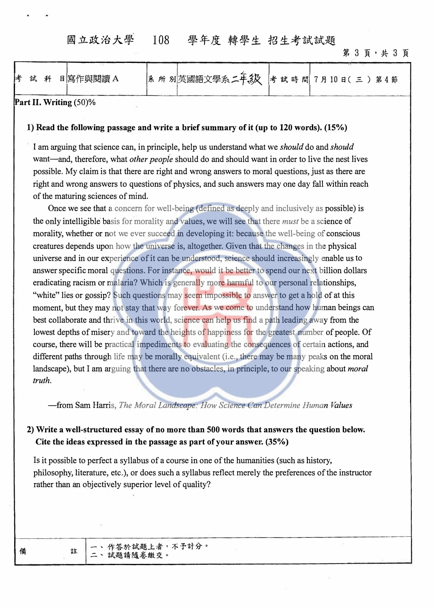| 系所別英國語文學系二年級  考試時間7月10日(三)第4節<br>日寫作與閱讀 A<br>考試科 |  |  |  |  |  |
|--------------------------------------------------|--|--|--|--|--|
|--------------------------------------------------|--|--|--|--|--|

**1Part II. Writing (50)%** 

## **1) Read the following passage and write a brief summary ofit (up to 120 words). (15%)**

**I am arguing that science can, in principle, help us understand what we should do and should want—and, therefore, what other people should do and should want in order to live the nest lives possible. My claim is that there are right and wrong answers to moral questions, just as there are right and wrong answers to questions of physics, and such answers may one day fall within reach of the maturing sciences of mind.**

**Once we see that a concern for well-being (defined as deeply and inclusively as possible) is** the only intelligible basis for morality and values, we will see that there *must* be a science of **morality, whether or not we ever succeed in developing it: because the well-being of conscious creatures depends upon how the universe is, altogether. Given that the changes in the physical universe and in our experience of it can be understood, science should increasingly enable us to answer specific moral questions. For instance, would it be better to spend our next billion dollars eradicating racism or malaria? Which is generally more harmful to our personal relationships, "white" lies or gossip? Such questions may seem impossible to answer to get a hold of at this moment, but they may not stay that way forever. As we come to understand how human beings can best collaborate and thrive in this world, science can help us find a path leading away from the lowest depths of misery and toward the heights of happiness for the greatest number of people. Of course, there will be practical impediments to evaluating the consequences of certain actions, and different paths through life may be morally equivalent (i.e., there may be many peaks on the moral** landscape), but I am arguing that there are no obstacles, in principle, to our speaking about *moral* **truth.**

**-from Sam Harris, The Moral Landscape: How Science Can Determine Human Values**

## **2) Write a well-structured essay of no more than 500 words that answers the question below. Cite the ideas expressed in the passage as part of your answer. (35%)**

**Is it possible to perfect a syllabus of a course in one of the humanities (such as history, philosophy, literature, etc.), or does such a syllabus reflect merely the preferences of the instructor rather than an objectively superior level of quality?**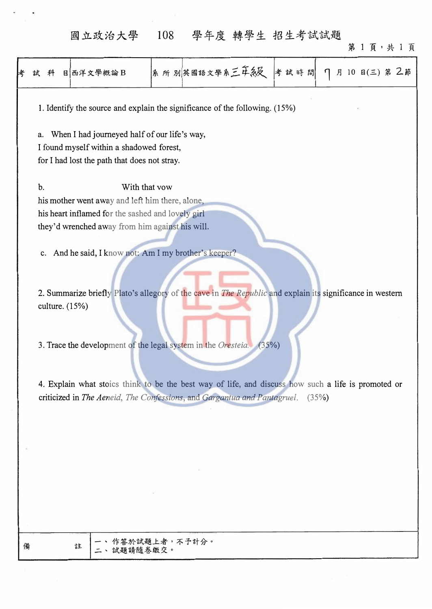第1頁,共1頁

|   |       |                |                                                                                          |                                                                                                           |  | <b>第 1 只 ' 六 1 只</b> |
|---|-------|----------------|------------------------------------------------------------------------------------------|-----------------------------------------------------------------------------------------------------------|--|----------------------|
| 考 | 試     | 科              | 目 西洋文學概論 B                                                                               | 系所别英国語文学系三年务及 考试時間                                                                                        |  | 7月10日(三) 第乙節         |
|   |       |                |                                                                                          | 1. Identify the source and explain the significance of the following. (15%)                               |  |                      |
|   | a.    |                | When I had journeyed half of our life's way,                                             |                                                                                                           |  |                      |
|   |       |                | I found myself within a shadowed forest,<br>for I had lost the path that does not stray. |                                                                                                           |  |                      |
|   | $b$ . |                | With that vow                                                                            |                                                                                                           |  |                      |
|   |       |                | his mother went away and left him there, alone,                                          |                                                                                                           |  |                      |
|   |       |                | his heart inflamed for the sashed and lovely girl                                        |                                                                                                           |  |                      |
|   |       |                | they'd wrenched away from him against his will.                                          |                                                                                                           |  |                      |
|   |       |                |                                                                                          |                                                                                                           |  |                      |
|   |       |                | c. And he said, I know not: Am I my brother's keeper?                                    |                                                                                                           |  |                      |
|   |       |                |                                                                                          |                                                                                                           |  |                      |
|   |       |                |                                                                                          |                                                                                                           |  |                      |
|   |       |                |                                                                                          | 2. Summarize briefly Plato's allegory of the cave in The Republic and explain its significance in western |  |                      |
|   |       | culture. (15%) |                                                                                          |                                                                                                           |  |                      |
|   |       |                |                                                                                          |                                                                                                           |  |                      |
|   |       |                |                                                                                          |                                                                                                           |  |                      |
|   |       |                |                                                                                          | 3. Trace the development of the legal system in the Oresteia. (35%)                                       |  |                      |
|   |       |                |                                                                                          |                                                                                                           |  |                      |
|   |       |                |                                                                                          |                                                                                                           |  |                      |
|   |       |                |                                                                                          | 4. Explain what stoics think to be the best way of life, and discuss how such a life is promoted or       |  |                      |
|   |       |                |                                                                                          | criticized in The Aeneid, The Confessions, and Gargantua and Pantagruel. (35%)                            |  |                      |
|   |       |                |                                                                                          |                                                                                                           |  |                      |
|   |       |                |                                                                                          |                                                                                                           |  |                      |
|   |       |                |                                                                                          |                                                                                                           |  |                      |
|   |       |                |                                                                                          |                                                                                                           |  |                      |
|   |       |                |                                                                                          |                                                                                                           |  |                      |
|   |       |                |                                                                                          |                                                                                                           |  |                      |
|   |       |                |                                                                                          |                                                                                                           |  |                      |
|   |       |                |                                                                                          |                                                                                                           |  |                      |
|   |       |                |                                                                                          |                                                                                                           |  |                      |
|   |       |                |                                                                                          |                                                                                                           |  |                      |
|   |       |                | 作答於試題上者,不予計分。                                                                            |                                                                                                           |  |                      |
| 備 |       |                | 註<br>、試題請隨卷繳交。                                                                           |                                                                                                           |  |                      |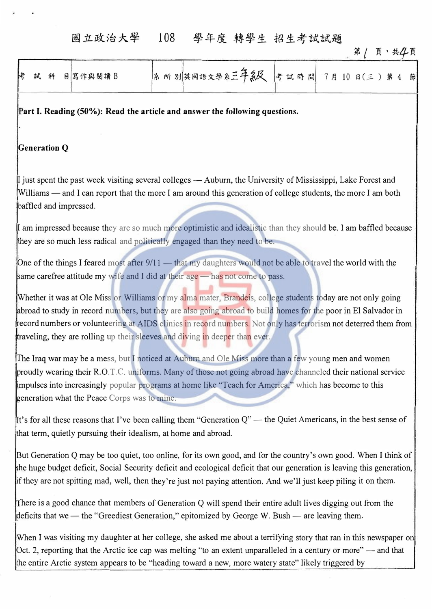第  $/$  頁, 共 $/$ 頁

|  |  |  | 考 試 科 目寫作與閱讀 B |  | 系所别英国語文學系三年系反 考试時間 7月10日(三)第4節 |  |  |  |  |
|--|--|--|----------------|--|--------------------------------|--|--|--|--|
|--|--|--|----------------|--|--------------------------------|--|--|--|--|

**art I. Reading (50%): Read the article and answer the following questions.** 

## **Generation Q**

**I just spent the past week visiting several colleges - Auburn, the University of Mississippi, Lake Forest and**  Williams — and I can report that the more I am around this generation of college students, the more I am both **affled and impressed.** 

**I am impressed because they are so much more optimistic and idealistic than they should be. I am baffled because hey are so much less radical and politically engaged than they need to be.** 

**One of the things I feared most after** 9/11 **—that my daughters would not be able to travel the world with the same carefree attitude my wife and I did at their age** — **has not come to pass.** 

Whether it was at Ole Miss or Williams or my alma mater, Brandeis, college students today are not only going **abroad to study in record numbers, but they are also going abroad to build homes for the poor in El Salvador in record numbers or volunteering at AIDS clinics in record numbers. Not only has terrorism not deterred them from .raveling, they are rolling up their sleeves and diving in deeper than ever.** 

**The Iraq war may be a mess, but I noticed at Auburn and Ole Miss more than a few young men and women roudly wearing their R.O.T.C. uniforms. Many of those not going abroad have channeled their national service tmpulses into increasingly popular programs at home like "Teach for America," which has become to this generation what the Peace Corps was to mine.** 

**<sup>t</sup>'s for all these reasons that I've been calling them "Generation Q" - the Quiet Americans, in the best sense of hat term, quietly pursuing their idealism, at home and abroad.** 

**But Generation Q may be too quiet, too online, for its own good, and for the country's own good. When I think of he huge budget deficit, Social Security deficit and ecological deficit that our generation is leaving this generation,**  if they are not spitting mad, well, then they're just not paying attention. And we'll just keep piling it on them.

**here is a good chance that members of Generation Q will spend their entire adult lives digging out from the �eficits that we** —**the "Greediest Generation," epitomized by George W. Bush** — **are leaving them.** 

When I was visiting my daughter at her college, she asked me about a terrifying story that ran in this newspaper on Oct. 2, reporting that the Arctic ice cap was melting "to an extent unparalleled in a century or more" — and that **he entire Arctic system appears to be "heading toward a new, more watery state" likely triggered by**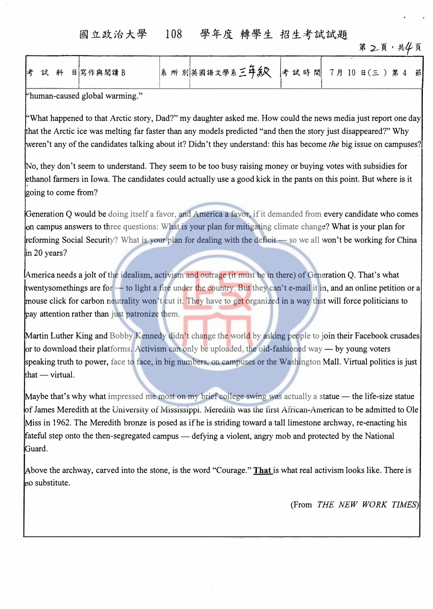第2頁,共4頁

|  |  | 考 試 科 目寫作與閱讀 B |  | 系所别英国語文學系三年級 考试時間 7月10日(三)第4節 |  |  |
|--|--|----------------|--|-------------------------------|--|--|

**'human-caused global warming."** 

**'What happened to that Arctic story, Dad?" my daughter asked me. How could the news media just report one day hat the Arctic ice was melting far faster than any models predicted "and then the story just disappeared?" Why eren't any of the candidates talking about it? Didn't they understand: this has become the big issue on campuses?** 

**i'-40, they don't seem to understand. They seem to be too busy raising money or buying votes with subsidies for ethanol farmers in Iowa. The candidates could actually use a good kick in the pants on this point. But where is it going to come from?** 

**Generation Q would be doing itself a favor, and America a favor, if it demanded from every candidate who comes n campus answers to three questions: What is your plan for mitigating climate change? What is your plan for eforming Social Security? What is your plan for dealing with the deficit <sup>一</sup> so we all won't be working for China in 20 years?** 

**America needs a jolt of the idealism, activism and outrage (it must be in there) of Generation Q. That's what entysomethings are for <sup>一</sup> to light a fire under the country. But they can't e-mail it in, and an online petition or a**  mouse click for carbon neutrality won't cut it. They have to get organized in a way that will force politicians to **ay attention rather than just patronize them.** 

**Martin Luther King and Bobby Kennedy didn't change the world by asking people to join their Facebook crusades r to download their platforms. Activism can only be uploaded, the old-fashioned way** — **by young voters speaking truth to power, face to face, in big numbers, on campuses or the Washington Mall. Virtual politics is just hat** — **virtual.** 

**Maybe that's why what impressed me most on my brief college swing was actually a statue — the life-size statue of James Meredith at the University of Mississippi. Meredith was the first African-American to be admitted to Ole iss in 1962. The Meredith bronze is posed as if he is striding toward a tall limestone archway, re-enacting his**  fateful step onto the then-segregated campus — defying a violent, angry mob and protected by the National **iGuard.** 

Above the archway, carved into the stone, is the word "Courage." That is what real activism looks like. There is **o substitute.**

**(From THE NEW WORK TIMES)**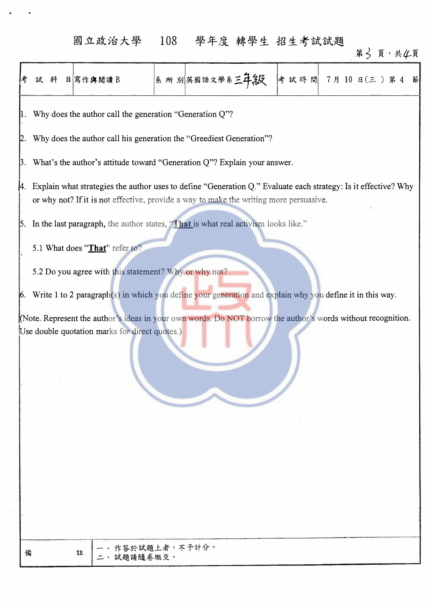# $\frac{4}{3}$ 第3頁,共4頁

|     |                                                                     |  |   | 考 試 科 目  寫作與閱讀 B                                        |          |  |               | 系所别英国语文学系三年叙                                                                                                                                                                                             |  | 考試時間 7月10日(三)第4節 |  |  |  |
|-----|---------------------------------------------------------------------|--|---|---------------------------------------------------------|----------|--|---------------|----------------------------------------------------------------------------------------------------------------------------------------------------------------------------------------------------------|--|------------------|--|--|--|
|     |                                                                     |  |   | Why does the author call the generation "Generation Q"? |          |  |               |                                                                                                                                                                                                          |  |                  |  |  |  |
|     | Why does the author call his generation the "Greediest Generation"? |  |   |                                                         |          |  |               |                                                                                                                                                                                                          |  |                  |  |  |  |
| 13. |                                                                     |  |   |                                                         |          |  |               | What's the author's attitude toward "Generation $Q$ "? Explain your answer.                                                                                                                              |  |                  |  |  |  |
| 14. |                                                                     |  |   |                                                         |          |  |               | Explain what strategies the author uses to define "Generation Q." Evaluate each strategy: Is it effective? Why<br>or why not? If it is not effective, provide a way to make the writing more persuasive. |  |                  |  |  |  |
| 15. |                                                                     |  |   |                                                         |          |  |               | In the last paragraph, the author states, "That is what real activism looks like."                                                                                                                       |  |                  |  |  |  |
|     |                                                                     |  |   | 5.1 What does "That" refer to?                          |          |  |               |                                                                                                                                                                                                          |  |                  |  |  |  |
|     |                                                                     |  |   | 5.2 Do you agree with this statement? Why or why not?   |          |  |               |                                                                                                                                                                                                          |  |                  |  |  |  |
| 16. |                                                                     |  |   |                                                         |          |  |               | Write 1 to 2 paragraph(s) in which you define your generation and explain why you define it in this way.                                                                                                 |  |                  |  |  |  |
|     |                                                                     |  |   |                                                         |          |  |               | (Note. Represent the author's ideas in your own words. Do NOT borrow the author's words without recognition.                                                                                             |  |                  |  |  |  |
|     |                                                                     |  |   | Use double quotation marks for direct quotes.)          |          |  |               |                                                                                                                                                                                                          |  |                  |  |  |  |
|     |                                                                     |  |   |                                                         |          |  |               |                                                                                                                                                                                                          |  |                  |  |  |  |
| 備   |                                                                     |  | 註 |                                                         | 試題請隨卷繳交。 |  | 作答於試題上者,不予計分。 |                                                                                                                                                                                                          |  |                  |  |  |  |